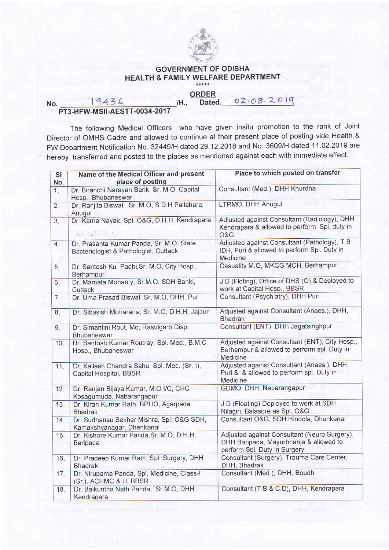

## GOVERNMENT OF ODISHA HEALTH & FAMILY WELFARE DEPARTMENT

## **ORDER**

Dated. 02.08.2019

## No. 19436 /H., PT3-HFW-MSII-AESTT-0034-2017

The following Medical Officers who have given insitu promotion to the rank of Joint Director of OMHS Cadre and allowed to continue at their present place of posting vide Health & FW Department Notification No. 32449/H dated 29.12.2018 and No. 3609/H dated 11.02.2019 are hereby transferred and posted to the places as mentioned against each with immediate effect.

| <b>SI</b><br>No. | Name of the Medical Officer and present<br>place of posting                       | Place to which posted on transfer                                                                                      |
|------------------|-----------------------------------------------------------------------------------|------------------------------------------------------------------------------------------------------------------------|
| $\overline{1}$ . | Dr. Biranchi Narayan Barik, Sr. M.O. Capital<br>Hosp., Bhubaneswar                | Consultant (Med.), DHH Khurdha                                                                                         |
| 2.               | Dr. Ranjita Biswal, Sr. M.O, S.D.H Pallahara,<br>Anugul                           | LTRMO, DHH Anugul                                                                                                      |
| 3.               | Dr. Karna Nayak, Spl. O&G, D.H.H, Kendrapara<br>112 15 次                          | Adjusted against Consultant (Radiology), DHH<br>Kendrapara & allowed to perform Spl. duty in<br>O&G                    |
| 4 <sub>1</sub>   | Dr. Prasanta Kumar Panda, Sr. M.O. State<br>Bacteriologist & Pathologist, Cuttack | Adjusted against Consultant (Pathology), T.B<br>IDH, Puri & allowed to perform Spl. Duty in<br>Medicine                |
| 5.               | Dr. Santosh Ku. Padhi, Sr. M.O, City Hosp.,<br>Berhampur                          | Casuality M.O, MKCG MCH, Berhampur                                                                                     |
| 6.               | Dr. Mamata Mohanty, Sr.M.O, SDH Banki,<br>Cuttack                                 | J.D (Floting), Office of DHS (O) & Deployed to<br>work at Capital Hosp., BBSR                                          |
| 7.               | Dr. Uma Prasad Biswal, Sr. M.O, DHH, Puri                                         | Consultant (Psychiatry), DHH Puri                                                                                      |
| 8.               | Dr. Sibasish Moharana, Sr. M.O, D.H.H, Jajpur                                     | Adjusted against Consultant (Anaes.), DHH,<br><b>Bhadrak</b>                                                           |
| 9 <sub>1</sub>   | Dr. Simantini Rout, Mo, Rasulgarh Disp.<br>Bhubaneswar                            | Consultant (ENT), DHH Jagatsinghpur                                                                                    |
| 10 <sub>1</sub>  | Dr. Santosh Kumar Routray, Spl. Med., B.M.C<br>Hosp., Bhubaneswar                 | Adjusted against Consultant (ENT), City Hosp.,<br>Berhampur & allowed to perform spl. Duty in<br>Medicine              |
| 11.              | Dr. Kailash Chandra Sahu, Spl. Med. (Sr.-I),<br>Capital Hospital, BBSR            | Adjusted against Consultant (Anaes.), DHH<br>Puri & & allowed to perform spl. Duty in<br>Medicine                      |
| 12.              | Dr. Ranjan Bijaya Kumar, M.O I/C, CHC<br>Kosagumuda, Nabarangapur                 | GDMO, DHH, Nabarangapur                                                                                                |
| 13.              | Dr. Kiran Kumar Rath, BPHO, Agarpada<br><b>Bhadrak</b>                            | J.D (Floating) Deployed to work at SDH<br>Nilagiri, Balasore as Spl. O&G                                               |
| 14.              | Dr. Sudhansu Sekher Mishra, Spl. O&G SDH,<br>Kamakshyanagar, Dhenkanal            | Consultant O&G, SDH Hindola, Dhenkanal                                                                                 |
| 15.              | Dr. Kishore Kumar Panda, Sr. M.O, D.H.H,<br>Baripada                              | Adjusted against Consultant (Neuro Surgery),<br>DHH Baripada, Mayurbhanja & allowed to<br>perform Spl. Duty in Surgery |
| 16.              | Dr. Pradeep Kumar Rath, Spl. Surgery, DHH<br><b>Bhadrak</b>                       | Consultant (Surgery), Trauma Care Center,<br>DHH, Bhadrak                                                              |
| 17.              | Dr. Nirupama Panda, Spl. Medicine, Class-I<br>(Sr.), ACHMC & H, BBSR              | Consultant (Med.), DHH, Boudh                                                                                          |
| 18 <sub>1</sub>  | Dr. Baikuntha Nath Panda, Sr.M.O, DHH<br>Kendrapara                               | Consultant (T.B & C.D), DHH, Kendrapara                                                                                |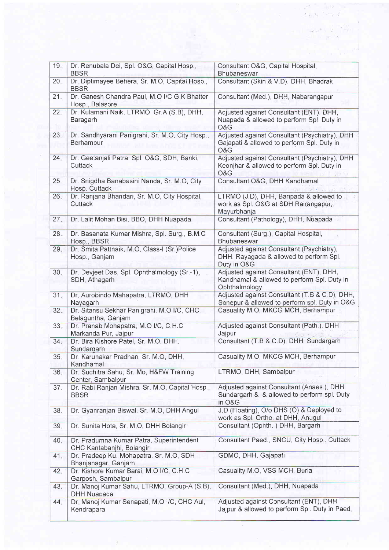| 19 <sub>•</sub> | Dr. Renubala Dei, Spl. O&G, Capital Hosp.,<br><b>BBSR</b>             | Consultant O&G, Capital Hospital,<br>Bhubaneswar                                                        |
|-----------------|-----------------------------------------------------------------------|---------------------------------------------------------------------------------------------------------|
| 20.             | Dr. Diptimayee Behera, Sr. M.O, Capital Hosp.,<br><b>BBSR</b>         | Consultant (Skin & V.D), DHH, Bhadrak                                                                   |
| 21.             | Dr. Ganesh Chandra Paul, M.O I/C G.K Bhatter<br>Hosp., Balasore       | Consultant (Med.), DHH, Nabarangapur                                                                    |
| 22.             | Dr. Kulamani Naik, LTRMO, Gr.A (S.B), DHH,<br>Baragarh                | Adjusted against Consultant (ENT), DHH,<br>Nuapada & allowed to perform Sp!. Duty in<br>O&G             |
| 23.             | Dr. Sandhyarani Panigrahi, Sr. M.O, City Hosp.,<br>Berhampur          | Adjusted against Consultant (Psychiatry), DHH<br>Gajapati & allowed to perform Spl. Duty in<br>O&G      |
| 24.             | Dr. Geetanjali Patra, Spl. O&G, SDH, Banki,<br>Cuttack                | Adjusted against Consultant (Psychiatry), DHH<br>Keonjhar & allowed to perform Spl. Duty in<br>O&G      |
| 25.             | Dr. Snigdha Banabasini Nanda, Sr. M.O, City<br>Hosp. Cuttack          | Consultant O&G, DHH Kandhamal                                                                           |
| 26.             | Dr. Ranjana Bhandari, Sr. M.O. City Hospital,<br>Cuttack              | LTRMO (J.D), DHH, Baripada & allowed to<br>work as Spl. O&G at SDH Rairangapur,<br>Mayurbhanja          |
| 27.             | Dr. Lalit Mohan Bisi, BBO, DHH Nuapada                                | Consultant (Pathology), DHH, Nuapada                                                                    |
| 28.             | Dr. Basanata Kumar Mishra, Spl. Surg., B.M.C<br>Hosp., BBSR           | Consultant (Surg.), Capital Hospital,<br>Bhubaneswar                                                    |
| 29.             | Dr. Smita Pattnaik, M.O, Class-I (Sr.)Police<br>Hosp., Ganjam         | Adjusted against Consultant (Psychiatry),<br>DHH, Rayagada & allowed to perform Spl.<br>Duty in O&G     |
| 30.             | Dr. Devjeet Das, Spl. Ophthalmology (Sr.-1),<br>SDH, Athagarh         | Adjusted against Consultant (ENT), DHH,<br>Kandhamal & allowed to perform Spl. Duty in<br>Ophthalmology |
| 31.             | Dr. Aurobindo Mahapatra, LTRMO, DHH<br>Nayagarh                       | Adjusted against Consultant (T.B & C.D), DHH,<br>Sonepur & allowed to perform spl. Duty in O&G          |
| 32.             | Dr. Sitansu Sekhar Panigrahi, M.O I/C, CHC,<br>Belaguntha, Ganjam     | Casuality M.O, MKCG MCH, Berhampur                                                                      |
| 33.             | Dr. Pranab Mohapatra, M.O I/C, C.H.C<br>Markanda Pur, Jajpur          | Adjusted against Consultant (Path.), DHH<br>Jajpur                                                      |
| 34.             | Dr. Bira Kishore Patel, Sr. M.O, DHH,<br>Sundargarh                   | Consultant (T.B & C.D), DHH, Sundargarh                                                                 |
| 35.             | Dr. Karunakar Pradhan, Sr. M.O, DHH,<br>Kandhamal                     | Casuality M.O, MKCG MCH, Berhampur                                                                      |
| 36.             | Dr. Suchitra Sahu, Sr. Mo, H&FW Training<br>Center, Sambalpur         | LTRMO, DHH, Sambalpur                                                                                   |
| 37.             | Dr. Rabi Ranjan Mishra, Sr. M.O, Capital Hosp.,<br><b>BBSR</b>        | Adjusted against Consultant (Anaes.), DHH<br>Sundargarh & & allowed to perform spl. Duty<br>in O&G      |
| 38.             | Dr. Gyanranjan Biswal, Sr. M.O, DHH Angul                             | J.D (Floating), O/o DHS (O) & Deployed to<br>work as Spl. Ortho. at DHH, Anugul                         |
| 39.             | Dr. Sunita Hota, Sr. M.O, DHH Bolangir                                | Consultant (Ophth.) DHH, Bargarh                                                                        |
| 40.             | Dr. Pradumna Kumar Patra, Superintendent<br>CHC Kantabanjhi, Bolangir | Consultant Paed., SNCU, City Hosp., Cuttack                                                             |
| 41.             | Dr. Pradeep Ku. Mohapatra, Sr. M.O, SDH<br>Bhanjanagar, Ganjam        | GDMO, DHH, Gajapati                                                                                     |
| 42.             | Dr. Kishore Kumar Barai, M.O I/C, C.H.C<br>Garposh, Sambalpur         | Casuality M.O, VSS MCH, Burla                                                                           |
| 43.             | Dr. Manoj Kumar Sahu, LTRMO, Group-A (S.B),<br><b>DHH Nuapada</b>     | Consultant (Med.), DHH, Nuapada                                                                         |
| 44.             | Dr. Manoj Kumar Senapati, M.O I/C, CHC Aul,<br>Kendrapara             | Adjusted against Consultant (ENT), DHH<br>Jajpur & allowed to perform Spl. Duty in Paed.                |

 $\overline{\mathcal{O}}$ 

 $\bar{\chi}$ 

ä

u.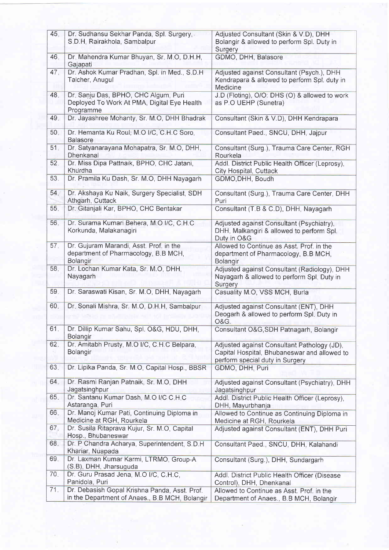| 45.             | Dr. Sudhansu Sekhar Panda, Spl. Surgery,<br>S.D.H, Rairakhola, Sambalpur                         | Adjusted Consultant (Skin & V.D), DHH<br>Bolangir & allowed to perform Spl. Duty in<br>Surgery                                 |
|-----------------|--------------------------------------------------------------------------------------------------|--------------------------------------------------------------------------------------------------------------------------------|
| 46.             | Dr. Mahendra Kumar Bhuyan, Sr. M.O, D.H.H,<br>Gajapati                                           | GDMO, DHH, Balasore                                                                                                            |
| 47.             | Dr. Ashok Kumar Pradhan, Spl. in Med., S.D.H.<br>Talcher, Anugul                                 | Adjusted against Consultant (Psych.), DHH<br>Kendrapara & allowed to perform Spl. duty in<br>Medicine                          |
| 48.             | Dr. Sanju Das, BPHO, CHC Algum, Puri<br>Deployed To Work At PMA, Digital Eye Health<br>Programme | J.D (Floting), O/O: DHS (O) & allowed to work<br>as P.O UEHP (Sunetra)                                                         |
| 49.             | Dr. Jayashree Mohanty, Sr. M.O, DHH Bhadrak                                                      | Consultant (Skin & V.D), DHH Kendrapara                                                                                        |
| 50.             | Dr. Hemanta Ku Roul, M.O I/C, C.H.C Soro,<br><b>Balasore</b>                                     | Consultant Paed., SNCU, DHH, Jajpur                                                                                            |
| 51.             | Dr. Satyanarayana Mohapatra, Sr. M.O, DHH,<br>Dhenkanal                                          | Consultant (Surg.), Trauma Care Center, RGH<br>Rourkela                                                                        |
| 52.             | Dr. Miss Dipa Pattnaik, BPHO, CHC Jatani,<br>Khurdha                                             | Addl. District Public Health Officer (Leprosy),<br>City Hospital, Cuttack                                                      |
| 53.             | Dr. Pramila Ku Dash, Sr. M.O, DHH Nayagarh                                                       | GDMO, DHH, Boudh                                                                                                               |
| 54.             | Dr. Akshaya Ku Naik, Surgery Specialist, SDH<br>Athgarh, Cuttack                                 | Consultant (Surg.), Trauma Care Center, DHH<br>Puri                                                                            |
| 55.             | Dr. Gitanjali Kar, BPHO, CHC Bentakar                                                            | Consultant (T.B & C.D), DHH, Nayagarh                                                                                          |
| 56.             | Dr. Surama Kumari Behera, M.O I/C, C.H.C<br>Korkunda, Malakanagiri                               | Adjusted against Consultant (Psychiatry),<br>DHH, Malkangiri & allowed to perform Spl.<br>Duty in O&G                          |
| 57 <sub>1</sub> | Dr. Gujuram Marandi, Asst. Prof. in the<br>department of Pharmacology, B.B MCH,<br>Bolangir      | Allowed to Continue as Asst. Prof. in the<br>department of Pharmacology, B.B MCH,<br>Bolangir                                  |
| 58.             | Dr. Lochan Kumar Kata, Sr. M.O, DHH,<br>Nayagarh                                                 | Adjusted against Consultant (Radiology), DHH<br>Nayagarh & allowed to perform Spl. Duty in<br>Surgery                          |
| 59.             | Dr. Saraswati Kisan, Sr. M.O, DHH, Nayagarh                                                      | Casuality M.O, VSS MCH, Burla                                                                                                  |
| 60.             | Dr. Sonali Mishra, Sr. M.O, D.H.H, Sambalpur                                                     | Adjusted against Consultant (ENT), DHH<br>Deogarh & allowed to perform Spl. Duty in<br><b>O&amp;G.</b>                         |
| 61.             | Dr. Dillip Kumar Sahu, Spl. O&G, HDU, DHH,<br>Bolangir                                           | Consultant O&G, SDH Patnagarh, Bolangir                                                                                        |
| 62.             | Dr. Amitabh Prusty, M.O I/C, C.H.C Belpara,<br>Bolangir                                          | Adjusted against Consultant Pathology (JD),<br>Capital Hospital, Bhubaneswar and allowed to<br>perform special duty in Surgery |
| 63.             | Dr. Lipika Panda, Sr. M.O. Capital Hosp., BBSR                                                   | GDMO, DHH, Puri                                                                                                                |
| 64.             | Dr. Rasmi Ranjan Patnaik, Sr. M.O, DHH<br>Jagatsinghpur                                          | Adjusted against Consultant (Psychiatry), DHH<br>Jagatsinghpur                                                                 |
| 65.             | Dr. Santanu Kumar Dash, M.O I/C C.H.C<br>Astaranga, Puri                                         | Addl. District Public Health Officer (Leprosy),<br>DHH, Mayurbhanja                                                            |
| 66.             | Dr. Manoj Kumar Pati, Continuing Diploma in<br>Medicine at RGH, Rourkela                         | Allowed to Continue as Continuing Diploma in<br>Medicine at RGH, Rourkela                                                      |
| 67.             | Dr. Susila Ritaprava Kujur, Sr. M.O, Capital<br>Hosp., Bhubaneswar                               | Adjusted against Consultant (ENT), DHH Puri                                                                                    |
| 68.             | Dr. P Chandra Acharya, Superintendent, S.D.H<br>Khariar, Nuapada                                 | Consultant Paed., SNCU, DHH, Kalahandi                                                                                         |
| 69.             | Dr. Laxman Kumar Karmi, LTRMO, Group-A<br>(S.B), DHH, Jharsuguda                                 | Consultant (Surg.), DHH, Sundargarh                                                                                            |
| 70.             | Dr. Guru Prasad Jena, M.O I/C, C.H.C.<br>Panidola, Puri                                          | Addl. District Public Health Officer (Disease                                                                                  |
| 71.             | Dr. Debasish Gopal Krishna Panda, Asst. Prof.<br>in the Department of Anaes., B.B MCH, Bolangir  | Control), DHH, Dhenkanal<br>Allowed to Continue as Asst. Prof. in the<br>Department of Anaes., B.B MCH, Bolangir               |

d.

ä